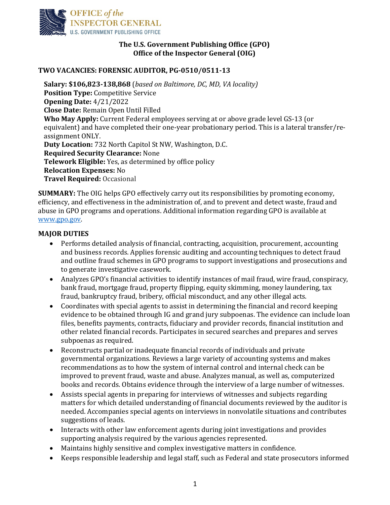

## **The U.S. Government Publishing Office (GPO) Office of the Inspector General (OIG)**

## **TWO VACANCIES: FORENSIC AUDITOR, PG-0510/0511-13**

**Salary: \$106,823-138,868** (*based on Baltimore, DC, MD, VA locality)* **Position Type:** Competitive Service **Opening Date:** 4/21/2022 **Close Date:** Remain Open Until Filled **Who May Apply:** Current Federal employees serving at or above grade level GS-13 (or equivalent) and have completed their one-year probationary period. This is a lateral transfer/reassignment ONLY. **Duty Location:** 732 North Capitol St NW, Washington, D.C. **Required Security Clearance:** None **Telework Eligible:** Yes, as determined by office policy **Relocation Expenses:** No **Travel Required:** Occasional

**SUMMARY:** The OIG helps GPO effectively carry out its responsibilities by promoting economy, efficiency, and effectiveness in the administration of, and to prevent and detect waste, fraud and abuse in GPO programs and operations. Additional information regarding GPO is available at [www.gpo.gov.](http://www.gpo.gov/)

## **MAJOR DUTIES**

- Performs detailed analysis of financial, contracting, acquisition, procurement, accounting and business records. Applies forensic auditing and accounting techniques to detect fraud and outline fraud schemes in GPO programs to support investigations and prosecutions and to generate investigative casework.
- Analyzes GPO's financial activities to identify instances of mail fraud, wire fraud, conspiracy, bank fraud, mortgage fraud, property flipping, equity skimming, money laundering, tax fraud, bankruptcy fraud, bribery, official misconduct, and any other illegal acts.
- Coordinates with special agents to assist in determining the financial and record keeping evidence to be obtained through IG and grand jury subpoenas. The evidence can include loan files, benefits payments, contracts, fiduciary and provider records, financial institution and other related financial records. Participates in secured searches and prepares and serves subpoenas as required.
- Reconstructs partial or inadequate financial records of individuals and private governmental organizations. Reviews a large variety of accounting systems and makes recommendations as to how the system of internal control and internal check can be improved to prevent fraud, waste and abuse. Analyzes manual, as well as, computerized books and records. Obtains evidence through the interview of a large number of witnesses.
- Assists special agents in preparing for interviews of witnesses and subjects regarding matters for which detailed understanding of financial documents reviewed by the auditor is needed. Accompanies special agents on interviews in nonvolatile situations and contributes suggestions of leads.
- Interacts with other law enforcement agents during joint investigations and provides supporting analysis required by the various agencies represented.
- Maintains highly sensitive and complex investigative matters in confidence.
- Keeps responsible leadership and legal staff, such as Federal and state prosecutors informed